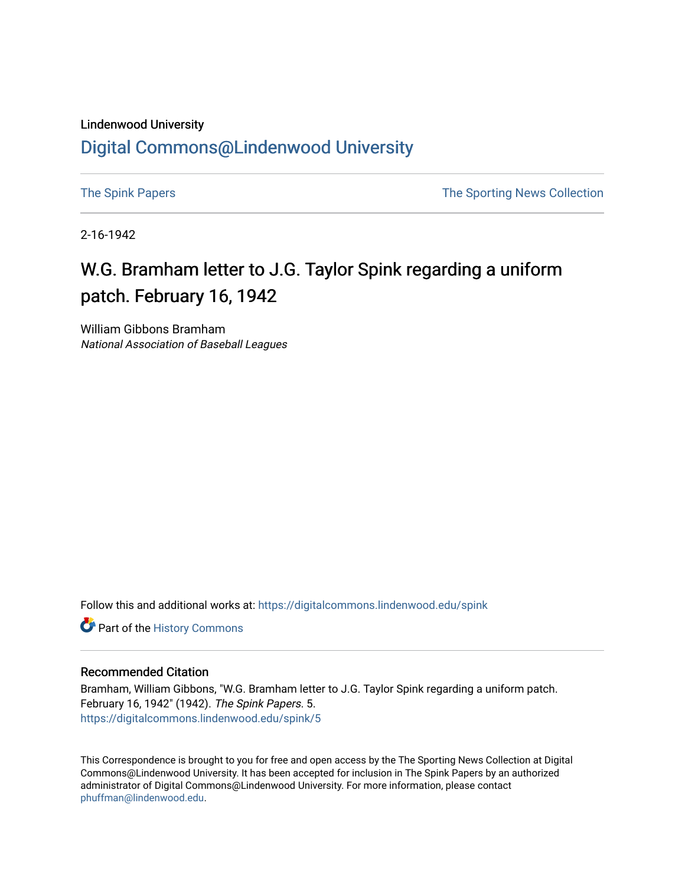#### Lindenwood University

## [Digital Commons@Lindenwood University](https://digitalcommons.lindenwood.edu/)

[The Spink Papers](https://digitalcommons.lindenwood.edu/spink) **The Spink Papers** The Sporting News Collection

2-16-1942

# W.G. Bramham letter to J.G. Taylor Spink regarding a uniform patch. February 16, 1942

William Gibbons Bramham National Association of Baseball Leagues

Follow this and additional works at: [https://digitalcommons.lindenwood.edu/spink](https://digitalcommons.lindenwood.edu/spink?utm_source=digitalcommons.lindenwood.edu%2Fspink%2F5&utm_medium=PDF&utm_campaign=PDFCoverPages)

Part of the [History Commons](http://network.bepress.com/hgg/discipline/489?utm_source=digitalcommons.lindenwood.edu%2Fspink%2F5&utm_medium=PDF&utm_campaign=PDFCoverPages) 

### Recommended Citation

Bramham, William Gibbons, "W.G. Bramham letter to J.G. Taylor Spink regarding a uniform patch. February 16, 1942" (1942). The Spink Papers. 5. [https://digitalcommons.lindenwood.edu/spink/5](https://digitalcommons.lindenwood.edu/spink/5?utm_source=digitalcommons.lindenwood.edu%2Fspink%2F5&utm_medium=PDF&utm_campaign=PDFCoverPages) 

This Correspondence is brought to you for free and open access by the The Sporting News Collection at Digital Commons@Lindenwood University. It has been accepted for inclusion in The Spink Papers by an authorized administrator of Digital Commons@Lindenwood University. For more information, please contact [phuffman@lindenwood.edu](mailto:phuffman@lindenwood.edu).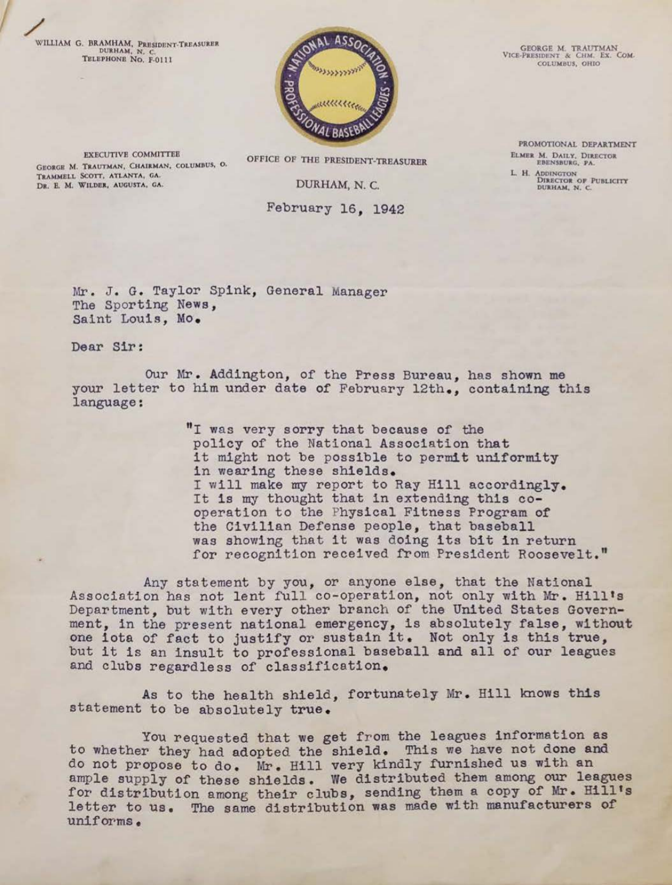WILLIAM G. BRAMHAM, PRESIDENT-TREASURER<br>DURHAM, N. C. TELEPHONE No. F-0111



**OEORGE M. TRAUTMAN<br>VICE-PRESIDENT & CHM. EX. COM,<br>COLUMBUS, OHIO** 

EXECUTIVE COMMITTEE GEORGE M. TRAUTMAN, CHAIRMAN, COLUMBUS, O. TRAMMELL SCOTT, ATLANTA, GA.<br>DR. E. M. WILDER, AUGUSTA, GA.

OFFICE OF THE PRESIDENT-TREASURER

February 16, 1942

PROMOTIONAL DEPARTMENT **ELMER M. DAILY, DIRECTOR EDENSBURG, PA. L. H. ADDINGTON OF PUBLICITY DURHAM, N. C. DIRECTOR OF PUBLICITY ORE** 

Mr . J. G. Taylor Spink, General Manager The Sporting **News,**  Saint Louis, Mo .

Dear Sir:

Our Mr. Addington, of the Press Bureau, has shown me your letter to him under date of February 12th., containing this language :

> "I was very sorry that because of the policy of the National Association that it might not be possible to permit uniformity<br>in wearing these shields. I will make my report to Ray Hill accordingly.<br>It is my thought that in extending this co-<br>operation to the Physical Fitness Program of the Civilian Defense people, that baseball was showing that it was doing its bit in return for recognition received from President Roosevelt."

Any statement by you, or anyone else, that the National Association has not lent full co-operation, not only with Mr. Hill's Department, but with every other branch of the United States Govern-ment, in the present national emergency, is absolutely false, without ment, in the present national emergency, is absolutely false, without one iota of fact to justify or sustain it. Not only is this true, but it is an insult to professional baseball and all of our leagues and clubs regardless of classification.

As to the health shield, fortunately Mr. Hill knows this statement to be absolutely true .

You requested that we get from the leagues information as to whether they had adopted the shield. This we have not done and do not propose to do. Mr. Hill very kindly furnished us with an ample supply of these shields. We distributed them among our leagues for distribution among their clubs, sending them a copy of Mr. Hill's letter to us. The same distribution was made with manufacturers of uniforms.